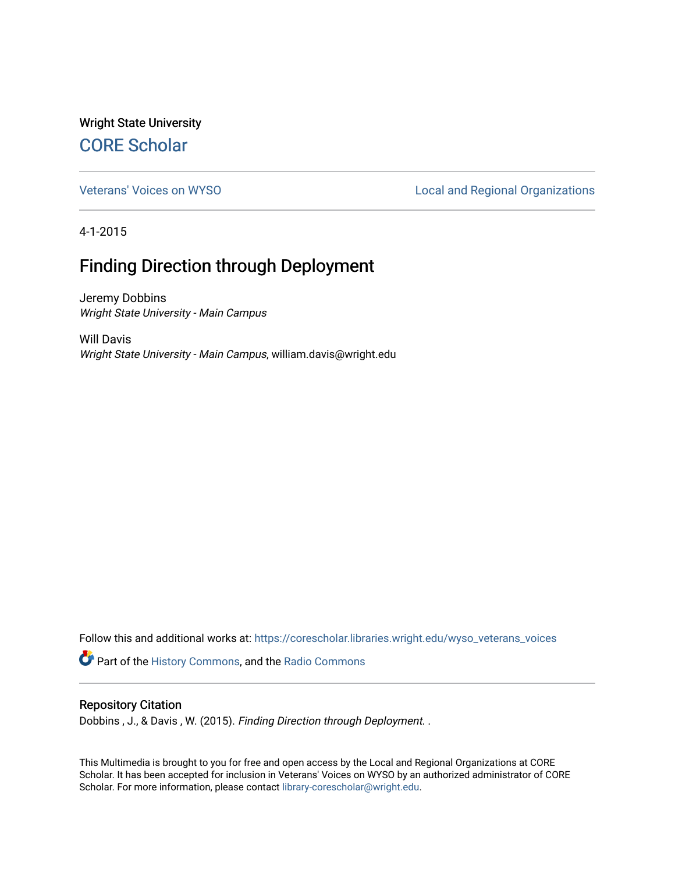Wright State University [CORE Scholar](https://corescholar.libraries.wright.edu/)

[Veterans' Voices on WYSO](https://corescholar.libraries.wright.edu/wyso_veterans_voices) **Local and Regional Organizations** 

4-1-2015

## Finding Direction through Deployment

Jeremy Dobbins Wright State University - Main Campus

Will Davis Wright State University - Main Campus, william.davis@wright.edu

Follow this and additional works at: [https://corescholar.libraries.wright.edu/wyso\\_veterans\\_voices](https://corescholar.libraries.wright.edu/wyso_veterans_voices?utm_source=corescholar.libraries.wright.edu%2Fwyso_veterans_voices%2F4&utm_medium=PDF&utm_campaign=PDFCoverPages)

Part of the [History Commons,](http://network.bepress.com/hgg/discipline/489?utm_source=corescholar.libraries.wright.edu%2Fwyso_veterans_voices%2F4&utm_medium=PDF&utm_campaign=PDFCoverPages) and the [Radio Commons](http://network.bepress.com/hgg/discipline/1144?utm_source=corescholar.libraries.wright.edu%2Fwyso_veterans_voices%2F4&utm_medium=PDF&utm_campaign=PDFCoverPages) 

## Repository Citation

Dobbins , J., & Davis , W. (2015). Finding Direction through Deployment. .

This Multimedia is brought to you for free and open access by the Local and Regional Organizations at CORE Scholar. It has been accepted for inclusion in Veterans' Voices on WYSO by an authorized administrator of CORE Scholar. For more information, please contact [library-corescholar@wright.edu](mailto:library-corescholar@wright.edu).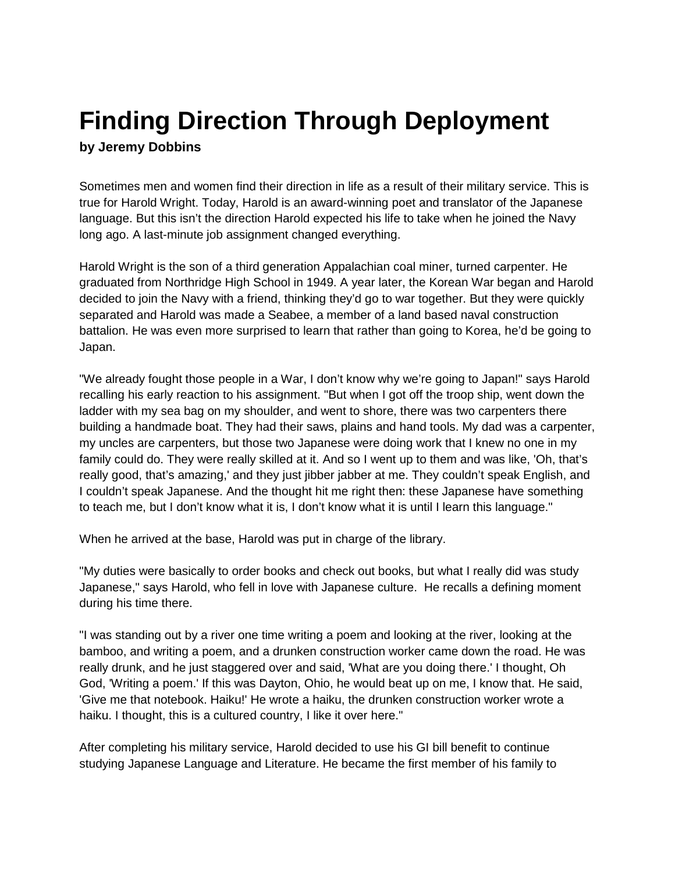## **Finding Direction Through Deployment by Jeremy Dobbins**

Sometimes men and women find their direction in life as a result of their military service. This is true for Harold Wright. Today, Harold is an award-winning poet and translator of the Japanese language. But this isn't the direction Harold expected his life to take when he joined the Navy long ago. A last-minute job assignment changed everything.

Harold Wright is the son of a third generation Appalachian coal miner, turned carpenter. He graduated from Northridge High School in 1949. A year later, the Korean War began and Harold decided to join the Navy with a friend, thinking they'd go to war together. But they were quickly separated and Harold was made a Seabee, a member of a land based naval construction battalion. He was even more surprised to learn that rather than going to Korea, he'd be going to Japan.

"We already fought those people in a War, I don't know why we're going to Japan!" says Harold recalling his early reaction to his assignment. "But when I got off the troop ship, went down the ladder with my sea bag on my shoulder, and went to shore, there was two carpenters there building a handmade boat. They had their saws, plains and hand tools. My dad was a carpenter, my uncles are carpenters, but those two Japanese were doing work that I knew no one in my family could do. They were really skilled at it. And so I went up to them and was like, 'Oh, that's really good, that's amazing,' and they just jibber jabber at me. They couldn't speak English, and I couldn't speak Japanese. And the thought hit me right then: these Japanese have something to teach me, but I don't know what it is, I don't know what it is until I learn this language."

When he arrived at the base, Harold was put in charge of the library.

"My duties were basically to order books and check out books, but what I really did was study Japanese," says Harold, who fell in love with Japanese culture. He recalls a defining moment during his time there.

"I was standing out by a river one time writing a poem and looking at the river, looking at the bamboo, and writing a poem, and a drunken construction worker came down the road. He was really drunk, and he just staggered over and said, 'What are you doing there.' I thought, Oh God, 'Writing a poem.' If this was Dayton, Ohio, he would beat up on me, I know that. He said, 'Give me that notebook. Haiku!' He wrote a haiku, the drunken construction worker wrote a haiku. I thought, this is a cultured country, I like it over here."

After completing his military service, Harold decided to use his GI bill benefit to continue studying Japanese Language and Literature. He became the first member of his family to